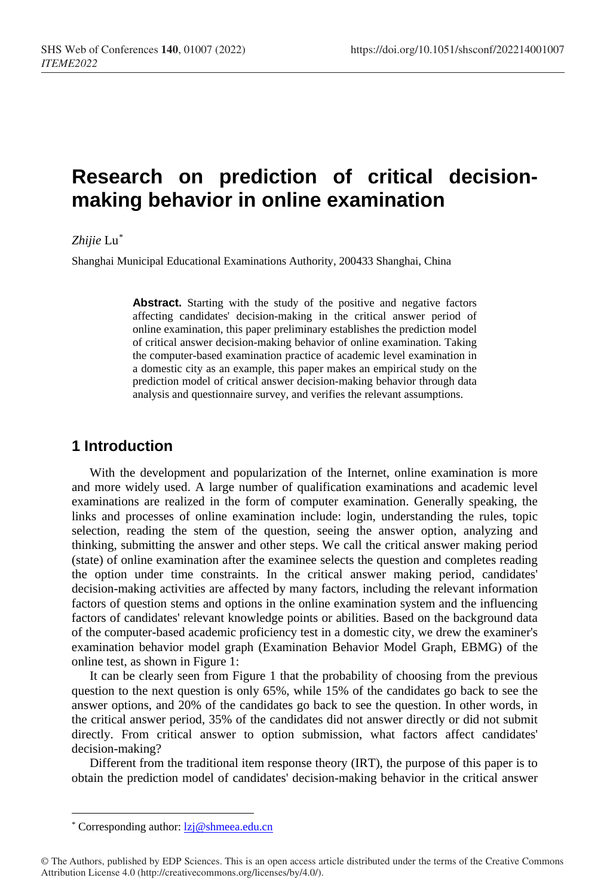# **Research on prediction of critical decisionmaking behavior in online examination**

#### *Zhijie* Lu[\\*](#page-0-0)

Shanghai Municipal Educational Examinations Authority, 200433 Shanghai, China

Abstract. Starting with the study of the positive and negative factors affecting candidates' decision-making in the critical answer period of online examination, this paper preliminary establishes the prediction model of critical answer decision-making behavior of online examination. Taking the computer-based examination practice of academic level examination in a domestic city as an example, this paper makes an empirical study on the prediction model of critical answer decision-making behavior through data analysis and questionnaire survey, and verifies the relevant assumptions.

# **1 Introduction**

With the development and popularization of the Internet, online examination is more and more widely used. A large number of qualification examinations and academic level examinations are realized in the form of computer examination. Generally speaking, the links and processes of online examination include: login, understanding the rules, topic selection, reading the stem of the question, seeing the answer option, analyzing and thinking, submitting the answer and other steps. We call the critical answer making period (state) of online examination after the examinee selects the question and completes reading the option under time constraints. In the critical answer making period, candidates' decision-making activities are affected by many factors, including the relevant information factors of question stems and options in the online examination system and the influencing factors of candidates' relevant knowledge points or abilities. Based on the background data of the computer-based academic proficiency test in a domestic city, we drew the examiner's examination behavior model graph (Examination Behavior Model Graph, EBMG) of the online test, as shown in Figure 1:

It can be clearly seen from Figure 1 that the probability of choosing from the previous question to the next question is only 65%, while 15% of the candidates go back to see the answer options, and 20% of the candidates go back to see the question. In other words, in the critical answer period, 35% of the candidates did not answer directly or did not submit directly. From critical answer to option submission, what factors affect candidates' decision-making?

Different from the traditional item response theory (IRT), the purpose of this paper is to obtain the prediction model of candidates' decision-making behavior in the critical answer

 $\overline{a}$ 

<sup>\*</sup> Corresponding author[: lzj@shmeea.edu.cn](mailto:lzj@shmeea.edu.cn)

<span id="page-0-0"></span><sup>©</sup> The Authors, published by EDP Sciences. This is an open access article distributed under the terms of the Creative Commons Attribution License 4.0 (http://creativecommons.org/licenses/by/4.0/).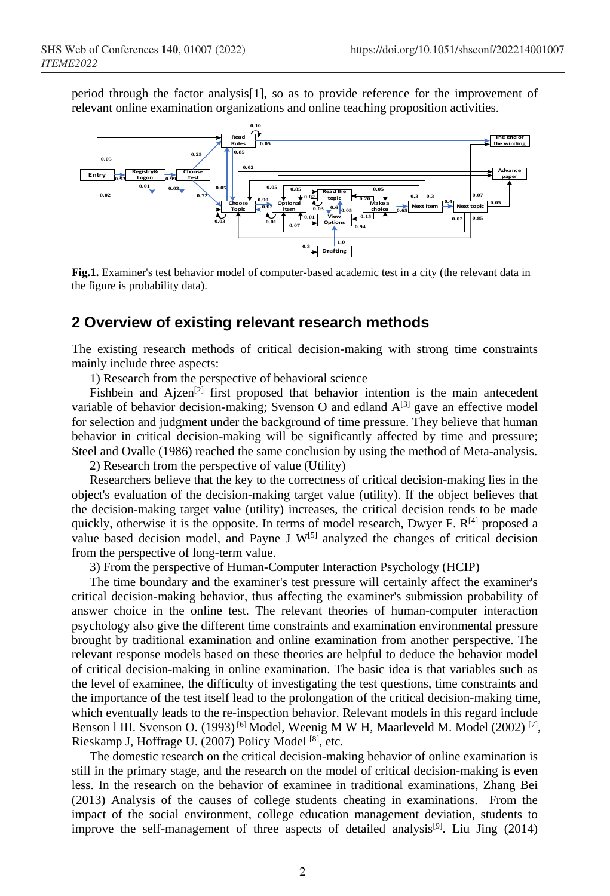period through the factor analysis[1], so as to provide reference for the improvement of relevant online examination organizations and online teaching proposition activities.



**Fig.1.** Examiner's test behavior model of computer-based academic test in a city (the relevant data in the figure is probability data).

## **2 Overview of existing relevant research methods**

The existing research methods of critical decision-making with strong time constraints mainly include three aspects:

1) Research from the perspective of behavioral science

Fishbein and Ajzen<sup>[2]</sup> first proposed that behavior intention is the main antecedent variable of behavior decision-making; Svenson O and edland  $A^{[3]}$  gave an effective model for selection and judgment under the background of time pressure. They believe that human behavior in critical decision-making will be significantly affected by time and pressure; Steel and Ovalle (1986) reached the same conclusion by using the method of Meta-analysis.

2) Research from the perspective of value (Utility)

Researchers believe that the key to the correctness of critical decision-making lies in the object's evaluation of the decision-making target value (utility). If the object believes that the decision-making target value (utility) increases, the critical decision tends to be made quickly, otherwise it is the opposite. In terms of model research, Dwyer F.  $R^{[4]}$  proposed a value based decision model, and Payne J  $W^{[5]}$  analyzed the changes of critical decision from the perspective of long-term value.

3) From the perspective of Human-Computer Interaction Psychology (HCIP)

The time boundary and the examiner's test pressure will certainly affect the examiner's critical decision-making behavior, thus affecting the examiner's submission probability of answer choice in the online test. The relevant theories of human-computer interaction psychology also give the different time constraints and examination environmental pressure brought by [traditional](javascript:;) examination and online examination from another perspective. The relevant response models based on these theories are helpful to deduce the behavior model of critical decision-making in online examination. The basic idea is that variables such as the level of examinee, the difficulty of investigating the test questions, time constraints and the importance of the test itself lead to the prolongation of the critical decision-making time, which eventually leads to the re-inspection behavior. Relevant models in this regard include Benson 1 III. Svenson O. (1993)<sup>[6]</sup> Model, Weenig M W H, Maarleveld M. Model (2002)<sup>[7]</sup>, Rieskamp J, Hoffrage U. (2007) [Policy](javascript:;) [Model](javascript:;) [8], etc.

The domestic research on the critical decision-making behavior of online examination is still in the primary stage, and the research on the model of critical decision-making is even less. In the research on the behavior of examinee in traditional examinations, Zhang Bei (2013) Analysis of the causes of college students cheating in examinations. From the impact of the social environment, college education management deviation, students to improve the self-management of three aspects of detailed analysis<sup>[9]</sup>. Liu Jing  $(2014)$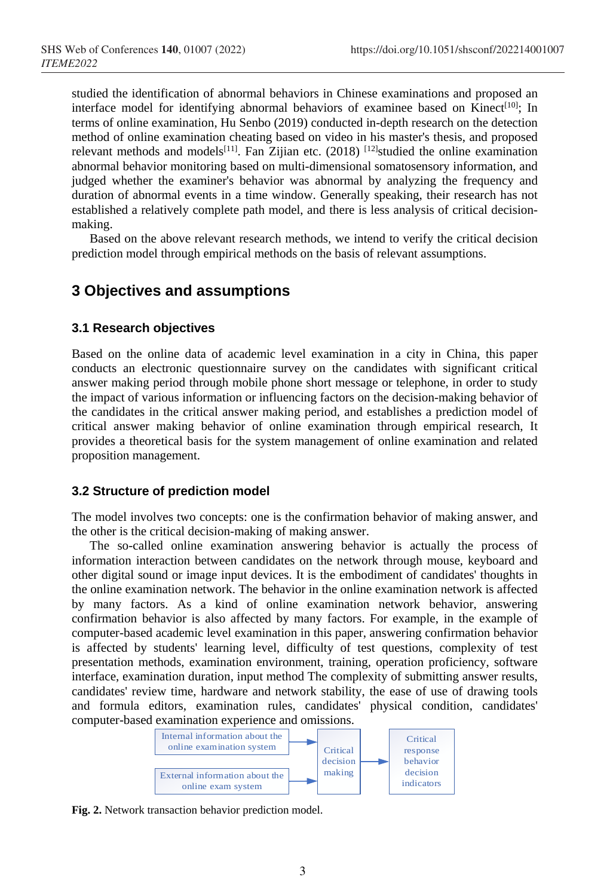studied the identification of abnormal behaviors in Chinese examinations and proposed an interface model for identifying abnormal behaviors of examinee based on Kinect<sup>[10]</sup>; In terms of online examination, Hu Senbo (2019) conducted in-depth research on the detection method of online examination cheating based on video in his master's thesis, and proposed relevant methods and models<sup>[11]</sup>. Fan Zijian etc.  $(2018)$ <sup>[12]</sup>studied the online examination abnormal behavior monitoring based on multi-dimensional somatosensory information, and judged whether the examiner's behavior was abnormal by analyzing the frequency and duration of abnormal events in a time window. Generally speaking, their research has not established a relatively complete path model, and there is less analysis of critical decisionmaking.

Based on the above relevant research methods, we intend to verify the critical decision prediction model through empirical methods on the basis of relevant assumptions.

# **3 Objectives and assumptions**

#### **3.1 Research objectives**

Based on the online data of academic level examination in a city in China, this paper conducts an electronic questionnaire survey on the candidates with significant critical answer making period through mobile phone short message or telephone, in order to study the impact of various information or influencing factors on the decision-making behavior of the candidates in the critical answer making period, and establishes a prediction model of critical answer making behavior of online examination through empirical research, It provides a theoretical basis for the system management of online examination and related proposition management.

#### **3.2 Structure of prediction model**

The model involves two concepts: one is the confirmation behavior of making answer, and the other is the critical decision-making of making answer.

The so-called online examination answering behavior is actually the process of information interaction between candidates on the network through mouse, keyboard and other digital sound or image input devices. It is the embodiment of candidates' thoughts in the online examination network. The behavior in the online examination network is affected by many factors. As a kind of online examination network behavior, answering confirmation behavior is also affected by many factors. For example, in the example of computer-based academic level examination in this paper, answering confirmation behavior is affected by students' learning level, difficulty of test questions, complexity of test presentation methods, examination environment, training, operation proficiency, software interface, examination duration, input method The complexity of submitting answer results, candidates' review time, hardware and network stability, the ease of use of drawing tools and formula editors, examination rules, candidates' physical condition, candidates' computer-based examination experience and omissions.



**Fig. 2.** Network transaction behavior prediction model.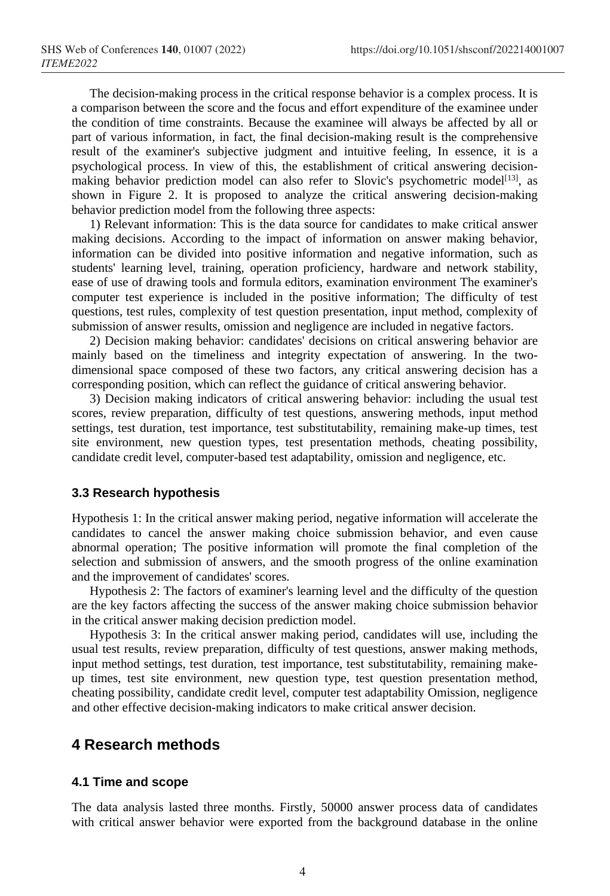The decision-making process in the critical response behavior is a complex process. It is a comparison between the score and the focus and effort expenditure of the examinee under the condition of time constraints. Because the examinee will always be affected by all or part of various information, in fact, the final decision-making result is the comprehensive result of the examiner's subjective judgment and intuitive feeling, In essence, it is a psychological process. In view of this, the establishment of critical answering decisionmaking behavior prediction model can also refer to Slovic's psychometric model<sup>[13]</sup>, as shown in Figure 2. It is proposed to analyze the critical answering decision-making behavior prediction model from the following three aspects:

1) Relevant information: This is the data source for candidates to make critical answer making decisions. According to the impact of information on answer making behavior, information can be divided into positive information and negative information, such as students' learning level, training, operation proficiency, hardware and network stability, ease of use of drawing tools and formula editors, examination environment The examiner's computer test experience is included in the positive information; The difficulty of test questions, test rules, complexity of test question presentation, input method, complexity of submission of answer results, omission and negligence are included in negative factors.

2) Decision making behavior: candidates' decisions on critical answering behavior are mainly based on the timeliness and integrity expectation of answering. In the twodimensional space composed of these two factors, any critical answering decision has a corresponding position, which can reflect the guidance of critical answering behavior.

3) Decision making indicators of critical answering behavior: including the usual test scores, review preparation, difficulty of test questions, answering methods, input method settings, test duration, test importance, test substitutability, remaining make-up times, test site environment, new question types, test presentation methods, cheating possibility, candidate credit level, computer-based test adaptability, omission and negligence, etc.

#### **3.3 Research hypothesis**

Hypothesis 1: In the critical answer making period, negative information will accelerate the candidates to cancel the answer making choice submission behavior, and even cause abnormal operation; The positive information will promote the final completion of the selection and submission of answers, and the smooth progress of the online examination and the improvement of candidates' scores.

Hypothesis 2: The factors of examiner's learning level and the difficulty of the question are the key factors affecting the success of the answer making choice submission behavior in the critical answer making decision prediction model.

Hypothesis 3: In the critical answer making period, candidates will use, including the usual test results, review preparation, difficulty of test questions, answer making methods, input method settings, test duration, test importance, test substitutability, remaining makeup times, test site environment, new question type, test question presentation method, cheating possibility, candidate credit level, computer test adaptability Omission, negligence and other effective decision-making indicators to make critical answer decision.

## **4 Research methods**

#### **4.1 Time and scope**

The data analysis lasted three months. Firstly, 50000 answer process data of candidates with critical answer behavior were exported from the background database in the online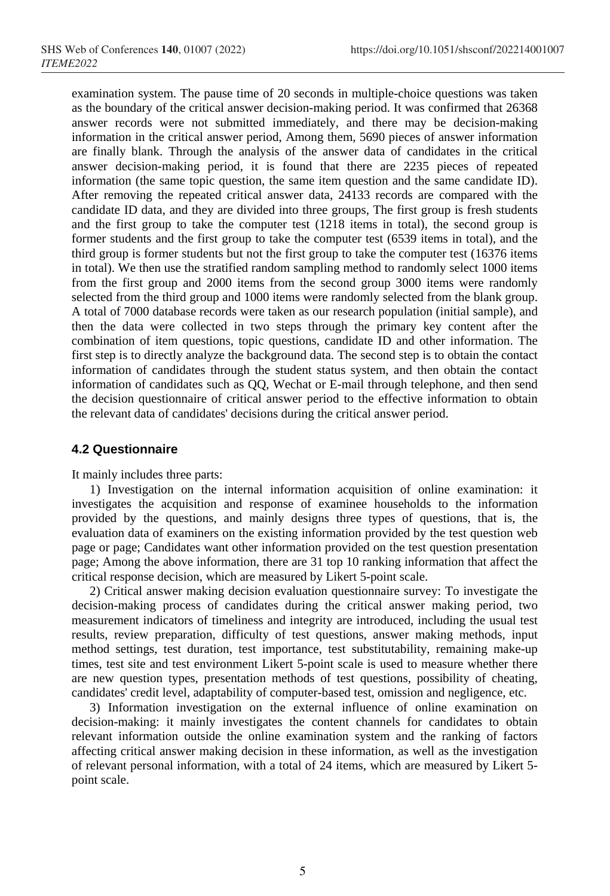examination system. The pause time of 20 seconds in multiple-choice questions was taken as the boundary of the critical answer decision-making period. It was confirmed that 26368 answer records were not submitted immediately, and there may be decision-making information in the critical answer period, Among them, 5690 pieces of answer information are finally blank. Through the analysis of the answer data of candidates in the critical answer decision-making period, it is found that there are 2235 pieces of repeated information (the same topic question, the same item question and the same candidate ID). After removing the repeated critical answer data, 24133 records are compared with the candidate ID data, and they are divided into three groups, The first group is fresh students and the first group to take the computer test (1218 items in total), the second group is former students and the first group to take the computer test (6539 items in total), and the third group is former students but not the first group to take the computer test (16376 items in total). We then use the stratified random sampling method to randomly select 1000 items from the first group and 2000 items from the second group 3000 items were randomly selected from the third group and 1000 items were randomly selected from the blank group. A total of 7000 database records were taken as our research population (initial sample), and then the data were collected in two steps through the primary key content after the combination of item questions, topic questions, candidate ID and other information. The first step is to directly analyze the background data. The second step is to obtain the contact information of candidates through the student status system, and then obtain the contact information of candidates such as QQ, Wechat or E-mail through telephone, and then send the decision questionnaire of critical answer period to the effective information to obtain the relevant data of candidates' decisions during the critical answer period.

#### **4.2 Questionnaire**

It mainly includes three parts:

1) Investigation on the internal information acquisition of online examination: it investigates the acquisition and response of examinee households to the information provided by the questions, and mainly designs three types of questions, that is, the evaluation data of examiners on the existing information provided by the test question web page or page; Candidates want other information provided on the test question presentation page; Among the above information, there are 31 top 10 ranking information that affect the critical response decision, which are measured by Likert 5-point scale.

2) Critical answer making decision evaluation questionnaire survey: To investigate the decision-making process of candidates during the critical answer making period, two measurement indicators of timeliness and integrity are introduced, including the usual test results, review preparation, difficulty of test questions, answer making methods, input method settings, test duration, test importance, test substitutability, remaining make-up times, test site and test environment Likert 5-point scale is used to measure whether there are new question types, presentation methods of test questions, possibility of cheating, candidates' credit level, adaptability of computer-based test, omission and negligence, etc.

3) Information investigation on the external influence of online examination on decision-making: it mainly investigates the content channels for candidates to obtain relevant information outside the online examination system and the ranking of factors affecting critical answer making decision in these information, as well as the investigation of relevant personal information, with a total of 24 items, which are measured by Likert 5 point scale.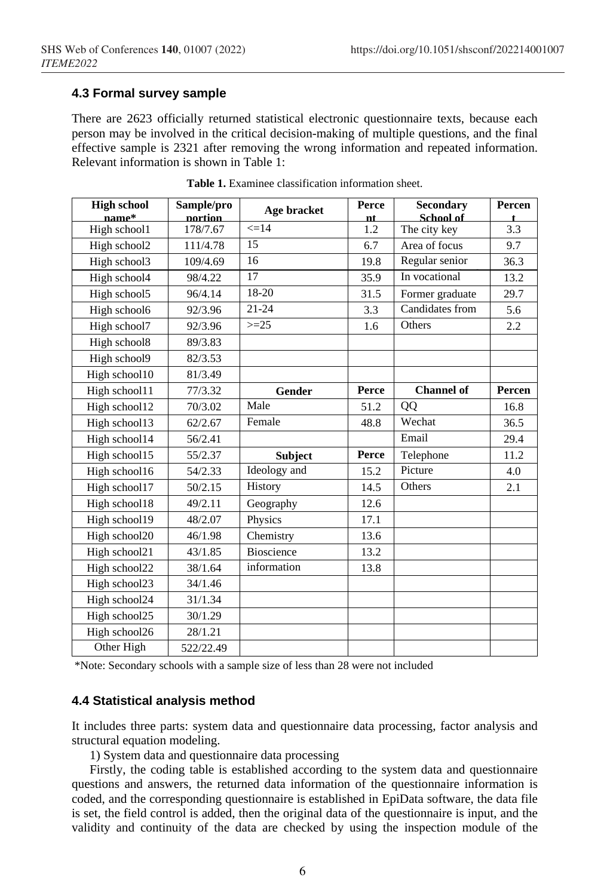### **4.3 Formal survey sample**

There are 2623 officially returned statistical electronic questionnaire texts, because each person may be involved in the critical decision-making of multiple questions, and the final effective sample is 2321 after removing the wrong information and repeated information. Relevant information is shown in Table 1:

| <b>High school</b><br>name* | Sample/pro<br><b>portion</b> | Age bracket    | Perce<br>nt. | <b>Secondary</b><br>School of | Percen |
|-----------------------------|------------------------------|----------------|--------------|-------------------------------|--------|
| High school1                | 178/7.67                     | $\leq$ =14     | 1.2          | The city key                  | 3.3    |
| High school2                | 111/4.78                     | 15             | 6.7          | Area of focus                 | 9.7    |
| High school3                | 109/4.69                     | 16             | 19.8         | Regular senior                | 36.3   |
| High school4                | 98/4.22                      | 17             | 35.9         | In vocational                 | 13.2   |
| High school5                | 96/4.14                      | 18-20          | 31.5         | Former graduate               | 29.7   |
| High school6                | 92/3.96                      | $21 - 24$      | 3.3          | Candidates from               | 5.6    |
| High school7                | 92/3.96                      | $>=25$         | 1.6          | Others                        | 2.2    |
| High school8                | 89/3.83                      |                |              |                               |        |
| High school9                | 82/3.53                      |                |              |                               |        |
| High school10               | 81/3.49                      |                |              |                               |        |
| High school11               | 77/3.32                      | Gender         | Perce        | <b>Channel of</b>             | Percen |
| High school12               | 70/3.02                      | Male           | 51.2         | QQ                            | 16.8   |
| High school13               | 62/2.67                      | Female         | 48.8         | Wechat                        | 36.5   |
| High school14               | 56/2.41                      |                |              | Email                         | 29.4   |
| High school15               | 55/2.37                      | <b>Subject</b> | Perce        | Telephone                     | 11.2   |
| High school16               | 54/2.33                      | Ideology and   | 15.2         | Picture                       | 4.0    |
| High school17               | 50/2.15                      | History        | 14.5         | Others                        | 2.1    |
| High school18               | 49/2.11                      | Geography      | 12.6         |                               |        |
| High school19               | 48/2.07                      | Physics        | 17.1         |                               |        |
| High school20               | 46/1.98                      | Chemistry      | 13.6         |                               |        |
| High school21               | 43/1.85                      | Bioscience     | 13.2         |                               |        |
| High school22               | 38/1.64                      | information    | 13.8         |                               |        |
| High school23               | 34/1.46                      |                |              |                               |        |
| High school24               | 31/1.34                      |                |              |                               |        |
| High school25               | 30/1.29                      |                |              |                               |        |
| High school26               | 28/1.21                      |                |              |                               |        |
| Other High                  | 522/22.49                    |                |              |                               |        |

**Table 1.** Examinee classification information sheet.

\*Note: Secondary schools with a sample size of less than 28 were not included

### **4.4 Statistical analysis method**

It includes three parts: system data and questionnaire data processing, factor analysis and structural equation modeling.

1) System data and questionnaire data processing

Firstly, the coding table is established according to the system data and questionnaire questions and answers, the returned data information of the questionnaire information is coded, and the corresponding questionnaire is established in EpiData software, the data file is set, the field control is added, then the original data of the questionnaire is input, and the validity and continuity of the data are checked by using the inspection module of the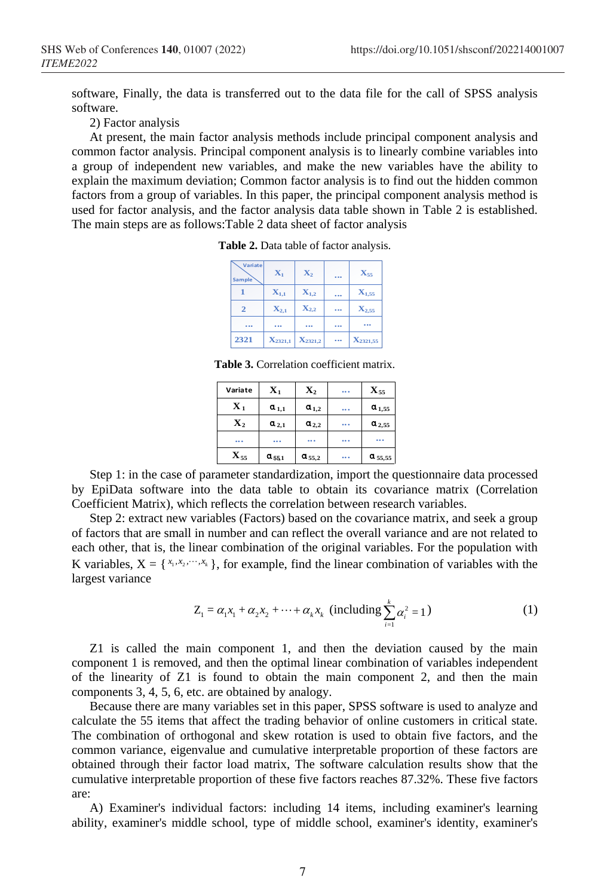software, Finally, the data is transferred out to the data file for the call of SPSS analysis software.

2) Factor analysis

At present, the main factor analysis methods include principal component analysis and common factor analysis. Principal component analysis is to linearly combine variables into a group of independent new variables, and make the new variables have the ability to explain the maximum deviation; Common factor analysis is to find out the hidden common factors from a group of variables. In this paper, the principal component analysis method is used for factor analysis, and the factor analysis data table shown in Table 2 is established. The main steps are as follows:Table 2 data sheet of factor analysis

| Variate<br>Sample | $\mathbf{X}_1$     | $\mathbf{X}_2$     | $\cdots$ | $X_{55}$            |
|-------------------|--------------------|--------------------|----------|---------------------|
|                   | $\mathbf{X}_{1,1}$ | $\mathbf{X}_{1,2}$ |          | $\mathbf{X}_{1,55}$ |
| $\overline{2}$    | $\mathbf{X}_{2,1}$ | $\mathbf{X}_{2,2}$ |          | $\mathbf{X}_{2,55}$ |
| $\cdots$          | $\cdots$           |                    | $\cdots$ |                     |
| 2321              | $X_{2321,1}$       | $X_{2321,2}$       |          | $X_{2321,55}$       |

**Table 2.** Data table of factor analysis.

**Table 3.** Correlation coefficient matrix.

| Variate           | $\mathbf{X}_1$ | $\mathbf{X}_2$ | <br>$\mathbf{X}_{55}$ |
|-------------------|----------------|----------------|-----------------------|
| $\mathbf{X}_1$    | $a_{1,1}$      | $a_{1,2}$      | <br>$a_{1,55}$        |
| $\mathbf{X}_2$    | $a_{2,1}$      | $a_{2,2}$      | <br>$a_{2,55}$        |
|                   |                |                | <br>                  |
| $\mathbf{X}_{55}$ | $a_{551}$      | $a_{55,2}$     | <br>$a_{55,55}$       |

Step 1: in the case of parameter standardization, import the questionnaire data processed by EpiData software into the data table to obtain its covariance matrix (Correlation Coefficient Matrix), which reflects the correlation between research variables.

Step 2: extract new variables (Factors) based on the covariance matrix, and seek a group of factors that are small in number and can reflect the overall variance and are not related to each other, that is, the linear combination of the original variables. For the population with K variables,  $X = \{x_1, x_2, \dots, x_k\}$ , for example, find the linear combination of variables with the largest variance

$$
Z_1 = \alpha_1 x_1 + \alpha_2 x_2 + \dots + \alpha_k x_k \text{ (including } \sum_{i=1}^k \alpha_i^2 = 1)
$$
 (1)

Z1 is called the main component 1, and then the deviation caused by the main component 1 is removed, and then the optimal linear combination of variables independent of the linearity of Z1 is found to obtain the main component 2, and then the main components 3, 4, 5, 6, etc. are obtained by analogy.

Because there are many variables set in this paper, SPSS software is used to analyze and calculate the 55 items that affect the trading behavior of online customers in critical state. The combination of orthogonal and skew rotation is used to obtain five factors, and the common variance, eigenvalue and cumulative interpretable proportion of these factors are obtained through their factor load matrix, The software calculation results show that the cumulative interpretable proportion of these five factors reaches 87.32%. These five factors are:

A) Examiner's individual factors: including 14 items, including examiner's learning ability, examiner's middle school, type of middle school, examiner's identity, examiner's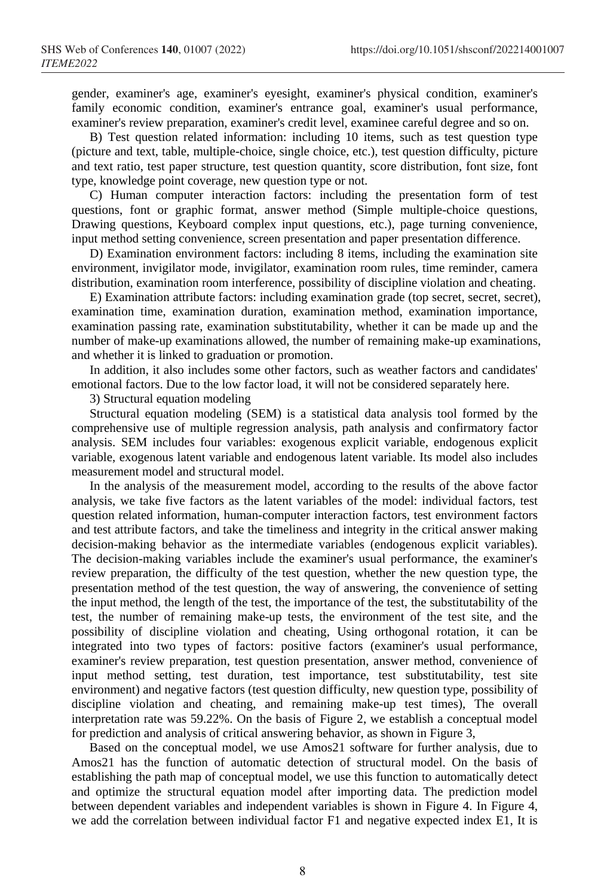gender, examiner's age, examiner's eyesight, examiner's physical condition, examiner's family economic condition, examiner's entrance goal, examiner's usual performance, examiner's review preparation, examiner's credit level, examinee careful degree and so on.

B) Test question related information: including 10 items, such as test question type (picture and text, table, multiple-choice, single choice, etc.), test question difficulty, picture and text ratio, test paper structure, test question quantity, score distribution, font size, font type, knowledge point coverage, new question type or not.

C) Human computer interaction factors: including the presentation form of test questions, font or graphic format, answer method (Simple multiple-choice questions, Drawing questions, Keyboard complex input questions, etc.), page turning convenience, input method setting convenience, screen presentation and paper presentation difference.

D) Examination environment factors: including 8 items, including the examination site environment, invigilator mode, invigilator, examination room rules, time reminder, camera distribution, examination room interference, possibility of discipline violation and cheating.

E) Examination attribute factors: including examination grade (top secret, secret, secret), examination time, examination duration, examination method, examination importance, examination passing rate, examination substitutability, whether it can be made up and the number of make-up examinations allowed, the number of remaining make-up examinations, and whether it is linked to graduation or promotion.

In addition, it also includes some other factors, such as weather factors and candidates' emotional factors. Due to the low factor load, it will not be considered separately here.

3) Structural equation modeling

Structural equation modeling (SEM) is a statistical data analysis tool formed by the comprehensive use of multiple regression analysis, path analysis and confirmatory factor analysis. SEM includes four variables: exogenous explicit variable, endogenous explicit variable, exogenous latent variable and endogenous latent variable. Its model also includes measurement model and structural model.

In the analysis of the measurement model, according to the results of the above factor analysis, we take five factors as the latent variables of the model: individual factors, test question related information, human-computer interaction factors, test environment factors and test attribute factors, and take the timeliness and integrity in the critical answer making decision-making behavior as the intermediate variables (endogenous explicit variables). The decision-making variables include the examiner's usual performance, the examiner's review preparation, the difficulty of the test question, whether the new question type, the presentation method of the test question, the way of answering, the convenience of setting the input method, the length of the test, the importance of the test, the substitutability of the test, the number of remaining make-up tests, the environment of the test site, and the possibility of discipline violation and cheating, Using orthogonal rotation, it can be integrated into two types of factors: positive factors (examiner's usual performance, examiner's review preparation, test question presentation, answer method, convenience of input method setting, test duration, test importance, test substitutability, test site environment) and negative factors (test question difficulty, new question type, possibility of discipline violation and cheating, and remaining make-up test times), The overall interpretation rate was 59.22%. On the basis of Figure 2, we establish a conceptual model for prediction and analysis of critical answering behavior, as shown in Figure 3,

Based on the conceptual model, we use Amos21 software for further analysis, due to Amos21 has the function of automatic detection of structural model. On the basis of establishing the path map of conceptual model, we use this function to automatically detect and optimize the structural equation model after importing data. The prediction model between dependent variables and independent variables is shown in Figure 4. In Figure 4, we add the correlation between individual factor F1 and negative expected index E1, It is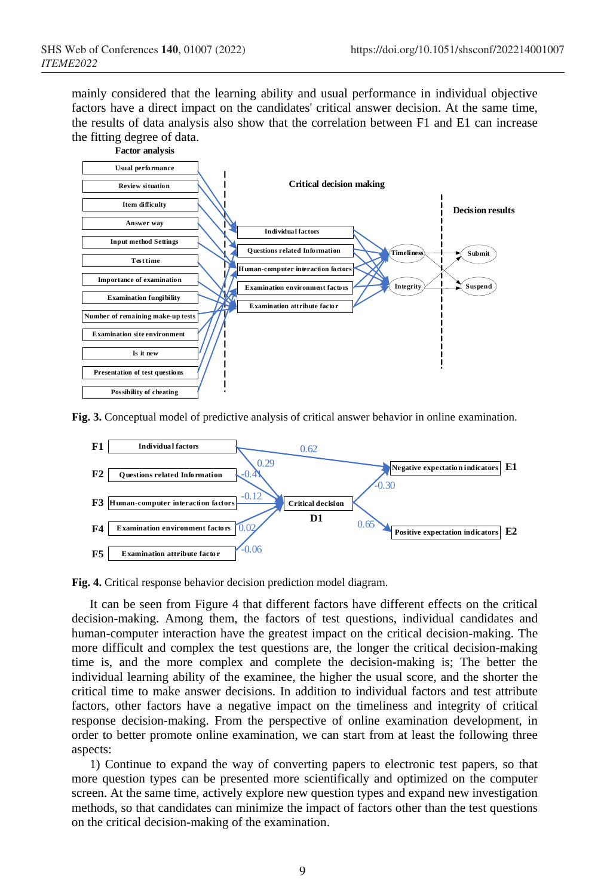mainly considered that the learning ability and usual performance in individual objective factors have a direct impact on the candidates' critical answer decision. At the same time, the results of data analysis also show that the correlation between F1 and E1 can increase the fitting degree of data.



**Fig. 3.** Conceptual model of predictive analysis of critical answer behavior in online examination.





It can be seen from Figure 4 that different factors have different effects on the critical decision-making. Among them, the factors of test questions, individual candidates and human-computer interaction have the greatest impact on the critical decision-making. The more difficult and complex the test questions are, the longer the critical decision-making time is, and the more complex and complete the decision-making is; The better the individual learning ability of the examinee, the higher the usual score, and the shorter the critical time to make answer decisions. In addition to individual factors and test attribute factors, other factors have a negative impact on the timeliness and integrity of critical response decision-making. From the perspective of online examination development, in order to better promote online examination, we can start from at least the following three aspects:

1) Continue to expand the way of converting papers to electronic test papers, so that more question types can be presented more scientifically and optimized on the computer screen. At the same time, actively explore new question types and expand new investigation methods, so that candidates can minimize the impact of factors other than the test questions on the critical decision-making of the examination.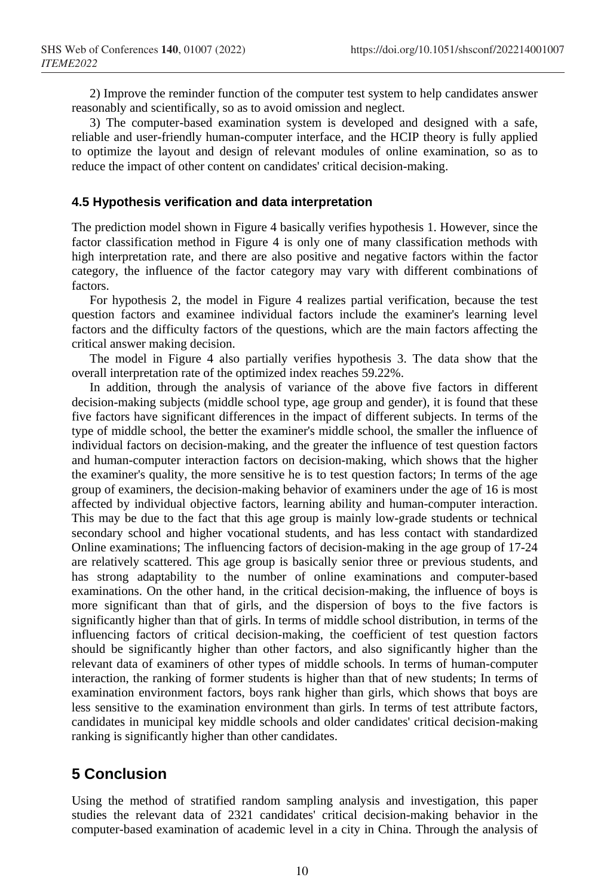2) Improve the reminder function of the computer test system to help candidates answer reasonably and scientifically, so as to avoid omission and neglect.

3) The computer-based examination system is developed and designed with a safe, reliable and user-friendly human-computer interface, and the HCIP theory is fully applied to optimize the layout and design of relevant modules of online examination, so as to reduce the impact of other content on candidates' critical decision-making.

#### **4.5 Hypothesis verification and data interpretation**

The prediction model shown in Figure 4 basically verifies hypothesis 1. However, since the factor classification method in Figure 4 is only one of many classification methods with high interpretation rate, and there are also positive and negative factors within the factor category, the influence of the factor category may vary with different combinations of factors.

For hypothesis 2, the model in Figure 4 realizes partial verification, because the test question factors and examinee individual factors include the examiner's learning level factors and the difficulty factors of the questions, which are the main factors affecting the critical answer making decision.

The model in Figure 4 also partially verifies hypothesis 3. The data show that the overall interpretation rate of the optimized index reaches 59.22%.

In addition, through the analysis of variance of the above five factors in different decision-making subjects (middle school type, age group and gender), it is found that these five factors have significant differences in the impact of different subjects. In terms of the type of middle school, the better the examiner's middle school, the smaller the influence of individual factors on decision-making, and the greater the influence of test question factors and human-computer interaction factors on decision-making, which shows that the higher the examiner's quality, the more sensitive he is to test question factors; In terms of the age group of examiners, the decision-making behavior of examiners under the age of 16 is most affected by individual objective factors, learning ability and human-computer interaction. This may be due to the fact that this age group is mainly low-grade students or technical secondary school and higher vocational students, and has less contact with standardized Online examinations; The influencing factors of decision-making in the age group of 17-24 are relatively scattered. This age group is basically senior three or previous students, and has strong adaptability to the number of online examinations and computer-based examinations. On the other hand, in the critical decision-making, the influence of boys is more significant than that of girls, and the dispersion of boys to the five factors is significantly higher than that of girls. In terms of middle school distribution, in terms of the influencing factors of critical decision-making, the coefficient of test question factors should be significantly higher than other factors, and also significantly higher than the relevant data of examiners of other types of middle schools. In terms of human-computer interaction, the ranking of former students is higher than that of new students; In terms of examination environment factors, boys rank higher than girls, which shows that boys are less sensitive to the examination environment than girls. In terms of test attribute factors, candidates in municipal key middle schools and older candidates' critical decision-making ranking is significantly higher than other candidates.

# **5 Conclusion**

Using the method of stratified random sampling analysis and investigation, this paper studies the relevant data of 2321 candidates' critical decision-making behavior in the computer-based examination of academic level in a city in China. Through the analysis of